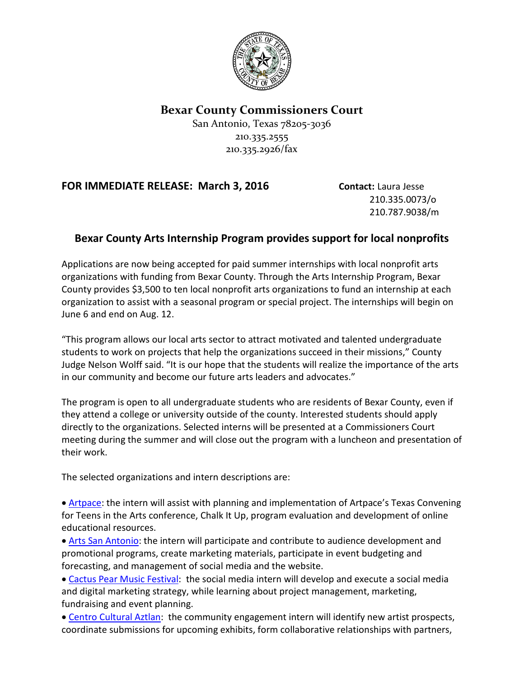

## **Bexar County Commissioners Court**

San Antonio, Texas 78205-3036 210.335.2555 210.335.2926/fax

## **FOR IMMEDIATE RELEASE: March 3, 2016 Contact:** Laura Jesse

210.335.0073/o 210.787.9038/m

## **Bexar County Arts Internship Program provides support for local nonprofits**

Applications are now being accepted for paid summer internships with local nonprofit arts organizations with funding from Bexar County. Through the Arts Internship Program, Bexar County provides \$3,500 to ten local nonprofit arts organizations to fund an internship at each organization to assist with a seasonal program or special project. The internships will begin on June 6 and end on Aug. 12.

"This program allows our local arts sector to attract motivated and talented undergraduate students to work on projects that help the organizations succeed in their missions," County Judge Nelson Wolff said. "It is our hope that the students will realize the importance of the arts in our community and become our future arts leaders and advocates."

The program is open to all undergraduate students who are residents of Bexar County, even if they attend a college or university outside of the county. Interested students should apply directly to the organizations. Selected interns will be presented at a Commissioners Court meeting during the summer and will close out the program with a luncheon and presentation of their work.

The selected organizations and intern descriptions are:

• [Artpace:](http://www.artpace.org/wp-content/uploads/Artpace-2016-Bexar-County-Intern-Program1.pdf) the intern will assist with planning and implementation of Artpace's Texas Convening for Teens in the Arts conference, Chalk It Up, program evaluation and development of online educational resources.

• [Arts San Antonio:](http://www.artssa.org/wp-content/uploads/2016/02/ARTSSA-_BEXAR_COUNTY_INTERNSHIP.pdf) the intern will participate and contribute to audience development and promotional programs, create marketing materials, participate in event budgeting and forecasting, and management of social media and the website.

- [Cactus Pear Music](http://www.cpmf.us/assets/internprogram16_writable_app.pdf) Festival: the social media intern will develop and execute a social media and digital marketing strategy, while learning about project management, marketing, fundraising and event planning.
- [Centro Cultural Aztlan:](http://www.centroaztlan.org/2016-summer-intership) the community engagement intern will identify new artist prospects, coordinate submissions for upcoming exhibits, form collaborative relationships with partners,